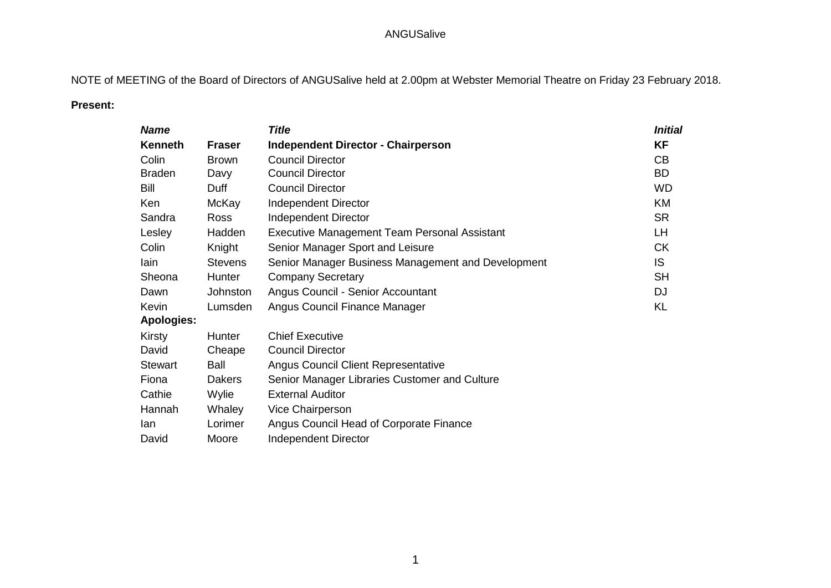NOTE of MEETING of the Board of Directors of ANGUSalive held at 2.00pm at Webster Memorial Theatre on Friday 23 February 2018.

# **Present:**

| <b>Name</b>       |                 | <b>Title</b>                                       | <b>Initial</b> |
|-------------------|-----------------|----------------------------------------------------|----------------|
| <b>Kenneth</b>    | <b>Fraser</b>   | <b>Independent Director - Chairperson</b>          | <b>KF</b>      |
| Colin             | <b>Brown</b>    | <b>Council Director</b>                            | CB             |
| <b>Braden</b>     | Davy            | <b>Council Director</b>                            | <b>BD</b>      |
| Bill              | Duff            | <b>Council Director</b>                            | <b>WD</b>      |
| Ken               | McKay           | Independent Director                               | KM             |
| Sandra            | <b>Ross</b>     | Independent Director                               | <b>SR</b>      |
| Lesley            | Hadden          | Executive Management Team Personal Assistant       | LH             |
| Colin             | Knight          | Senior Manager Sport and Leisure                   | <b>CK</b>      |
| lain              | <b>Stevens</b>  | Senior Manager Business Management and Development | IS.            |
| Sheona            | <b>Hunter</b>   | <b>Company Secretary</b>                           | <b>SH</b>      |
| Dawn              | <b>Johnston</b> | Angus Council - Senior Accountant                  | <b>DJ</b>      |
| Kevin             | Lumsden         | Angus Council Finance Manager                      | <b>KL</b>      |
| <b>Apologies:</b> |                 |                                                    |                |
| Kirsty            | Hunter          | <b>Chief Executive</b>                             |                |
| David             | Cheape          | <b>Council Director</b>                            |                |
| <b>Stewart</b>    | Ball            | <b>Angus Council Client Representative</b>         |                |
| Fiona             | <b>Dakers</b>   | Senior Manager Libraries Customer and Culture      |                |
| Cathie            | Wylie           | <b>External Auditor</b>                            |                |
| Hannah            | Whaley          | Vice Chairperson                                   |                |
| lan               | Lorimer         | Angus Council Head of Corporate Finance            |                |
| David             | Moore           | <b>Independent Director</b>                        |                |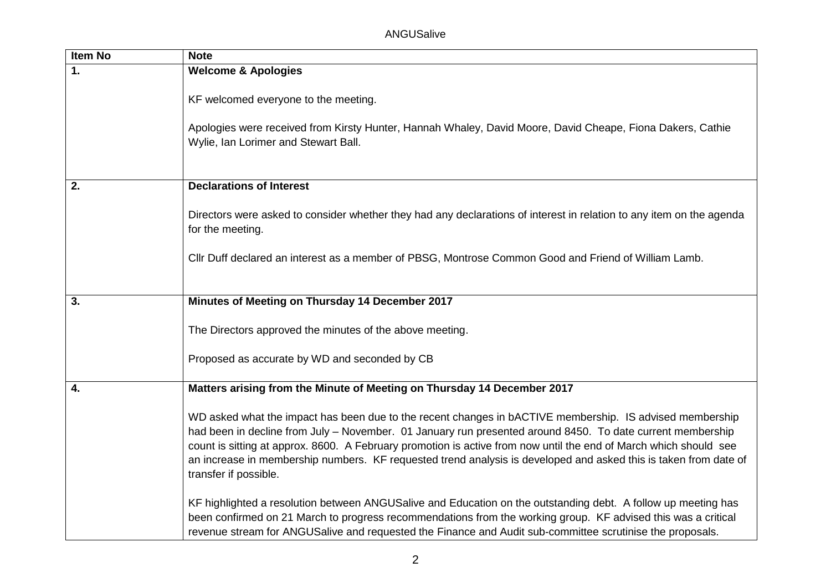| <b>Item No</b> | <b>Note</b>                                                                                                                                                                                                                                                                                                                                                                                                                                                                              |
|----------------|------------------------------------------------------------------------------------------------------------------------------------------------------------------------------------------------------------------------------------------------------------------------------------------------------------------------------------------------------------------------------------------------------------------------------------------------------------------------------------------|
| 1.             | <b>Welcome &amp; Apologies</b>                                                                                                                                                                                                                                                                                                                                                                                                                                                           |
|                | KF welcomed everyone to the meeting.                                                                                                                                                                                                                                                                                                                                                                                                                                                     |
|                | Apologies were received from Kirsty Hunter, Hannah Whaley, David Moore, David Cheape, Fiona Dakers, Cathie<br>Wylie, Ian Lorimer and Stewart Ball.                                                                                                                                                                                                                                                                                                                                       |
| 2.             | <b>Declarations of Interest</b>                                                                                                                                                                                                                                                                                                                                                                                                                                                          |
|                | Directors were asked to consider whether they had any declarations of interest in relation to any item on the agenda<br>for the meeting.                                                                                                                                                                                                                                                                                                                                                 |
|                | Cllr Duff declared an interest as a member of PBSG, Montrose Common Good and Friend of William Lamb.                                                                                                                                                                                                                                                                                                                                                                                     |
| 3.             | Minutes of Meeting on Thursday 14 December 2017                                                                                                                                                                                                                                                                                                                                                                                                                                          |
|                |                                                                                                                                                                                                                                                                                                                                                                                                                                                                                          |
|                | The Directors approved the minutes of the above meeting.                                                                                                                                                                                                                                                                                                                                                                                                                                 |
|                | Proposed as accurate by WD and seconded by CB                                                                                                                                                                                                                                                                                                                                                                                                                                            |
| 4.             | Matters arising from the Minute of Meeting on Thursday 14 December 2017                                                                                                                                                                                                                                                                                                                                                                                                                  |
|                | WD asked what the impact has been due to the recent changes in bACTIVE membership. IS advised membership<br>had been in decline from July - November. 01 January run presented around 8450. To date current membership<br>count is sitting at approx. 8600. A February promotion is active from now until the end of March which should see<br>an increase in membership numbers. KF requested trend analysis is developed and asked this is taken from date of<br>transfer if possible. |
|                | KF highlighted a resolution between ANGUSalive and Education on the outstanding debt. A follow up meeting has<br>been confirmed on 21 March to progress recommendations from the working group. KF advised this was a critical<br>revenue stream for ANGUSalive and requested the Finance and Audit sub-committee scrutinise the proposals.                                                                                                                                              |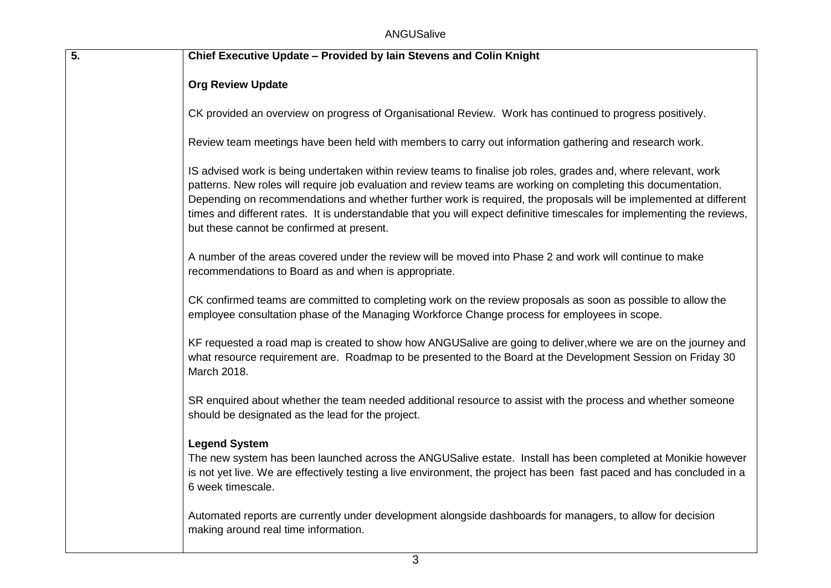| 5. | Chief Executive Update - Provided by lain Stevens and Colin Knight                                                                                                                                                                                                                                                                                                                                                                                                                                                              |
|----|---------------------------------------------------------------------------------------------------------------------------------------------------------------------------------------------------------------------------------------------------------------------------------------------------------------------------------------------------------------------------------------------------------------------------------------------------------------------------------------------------------------------------------|
|    | <b>Org Review Update</b>                                                                                                                                                                                                                                                                                                                                                                                                                                                                                                        |
|    | CK provided an overview on progress of Organisational Review. Work has continued to progress positively.                                                                                                                                                                                                                                                                                                                                                                                                                        |
|    | Review team meetings have been held with members to carry out information gathering and research work.                                                                                                                                                                                                                                                                                                                                                                                                                          |
|    | IS advised work is being undertaken within review teams to finalise job roles, grades and, where relevant, work<br>patterns. New roles will require job evaluation and review teams are working on completing this documentation.<br>Depending on recommendations and whether further work is required, the proposals will be implemented at different<br>times and different rates. It is understandable that you will expect definitive timescales for implementing the reviews,<br>but these cannot be confirmed at present. |
|    | A number of the areas covered under the review will be moved into Phase 2 and work will continue to make<br>recommendations to Board as and when is appropriate.                                                                                                                                                                                                                                                                                                                                                                |
|    | CK confirmed teams are committed to completing work on the review proposals as soon as possible to allow the<br>employee consultation phase of the Managing Workforce Change process for employees in scope.                                                                                                                                                                                                                                                                                                                    |
|    | KF requested a road map is created to show how ANGUSalive are going to deliver, where we are on the journey and<br>what resource requirement are. Roadmap to be presented to the Board at the Development Session on Friday 30<br>March 2018.                                                                                                                                                                                                                                                                                   |
|    | SR enquired about whether the team needed additional resource to assist with the process and whether someone<br>should be designated as the lead for the project.                                                                                                                                                                                                                                                                                                                                                               |
|    | <b>Legend System</b><br>The new system has been launched across the ANGUSalive estate. Install has been completed at Monikie however<br>is not yet live. We are effectively testing a live environment, the project has been fast paced and has concluded in a<br>6 week timescale.                                                                                                                                                                                                                                             |
|    | Automated reports are currently under development alongside dashboards for managers, to allow for decision<br>making around real time information.                                                                                                                                                                                                                                                                                                                                                                              |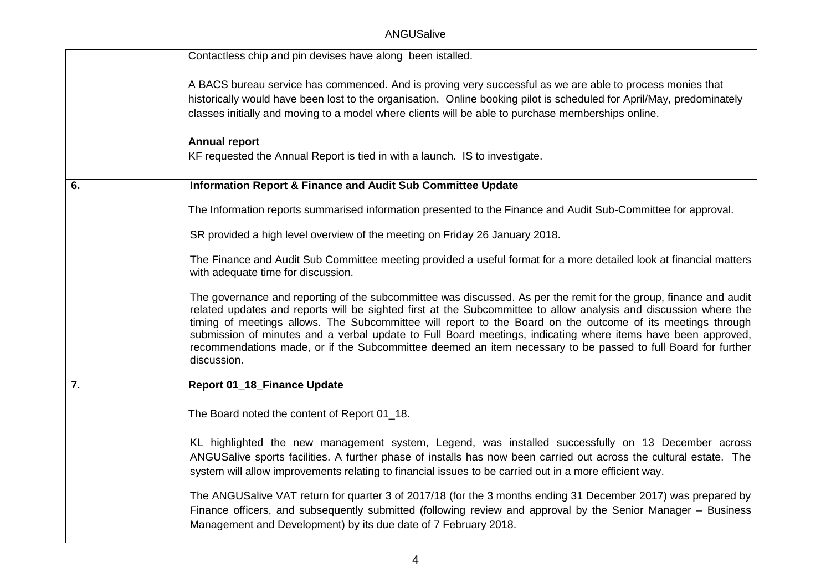ANGUSalive

|                  | Contactless chip and pin devises have along been istalled.                                                                                                                                                                                                                                                                                                                                                                                                                                                                                                                                          |
|------------------|-----------------------------------------------------------------------------------------------------------------------------------------------------------------------------------------------------------------------------------------------------------------------------------------------------------------------------------------------------------------------------------------------------------------------------------------------------------------------------------------------------------------------------------------------------------------------------------------------------|
|                  | A BACS bureau service has commenced. And is proving very successful as we are able to process monies that<br>historically would have been lost to the organisation. Online booking pilot is scheduled for April/May, predominately<br>classes initially and moving to a model where clients will be able to purchase memberships online.                                                                                                                                                                                                                                                            |
|                  | <b>Annual report</b><br>KF requested the Annual Report is tied in with a launch. IS to investigate.                                                                                                                                                                                                                                                                                                                                                                                                                                                                                                 |
| 6.               | <b>Information Report &amp; Finance and Audit Sub Committee Update</b>                                                                                                                                                                                                                                                                                                                                                                                                                                                                                                                              |
|                  | The Information reports summarised information presented to the Finance and Audit Sub-Committee for approval.                                                                                                                                                                                                                                                                                                                                                                                                                                                                                       |
|                  | SR provided a high level overview of the meeting on Friday 26 January 2018.                                                                                                                                                                                                                                                                                                                                                                                                                                                                                                                         |
|                  | The Finance and Audit Sub Committee meeting provided a useful format for a more detailed look at financial matters<br>with adequate time for discussion.                                                                                                                                                                                                                                                                                                                                                                                                                                            |
|                  | The governance and reporting of the subcommittee was discussed. As per the remit for the group, finance and audit<br>related updates and reports will be sighted first at the Subcommittee to allow analysis and discussion where the<br>timing of meetings allows. The Subcommittee will report to the Board on the outcome of its meetings through<br>submission of minutes and a verbal update to Full Board meetings, indicating where items have been approved,<br>recommendations made, or if the Subcommittee deemed an item necessary to be passed to full Board for further<br>discussion. |
| $\overline{7}$ . | Report 01_18_Finance Update                                                                                                                                                                                                                                                                                                                                                                                                                                                                                                                                                                         |
|                  | The Board noted the content of Report 01_18.                                                                                                                                                                                                                                                                                                                                                                                                                                                                                                                                                        |
|                  | KL highlighted the new management system, Legend, was installed successfully on 13 December across<br>ANGUSalive sports facilities. A further phase of installs has now been carried out across the cultural estate. The<br>system will allow improvements relating to financial issues to be carried out in a more efficient way.                                                                                                                                                                                                                                                                  |
|                  | The ANGUSalive VAT return for quarter 3 of 2017/18 (for the 3 months ending 31 December 2017) was prepared by<br>Finance officers, and subsequently submitted (following review and approval by the Senior Manager – Business<br>Management and Development) by its due date of 7 February 2018.                                                                                                                                                                                                                                                                                                    |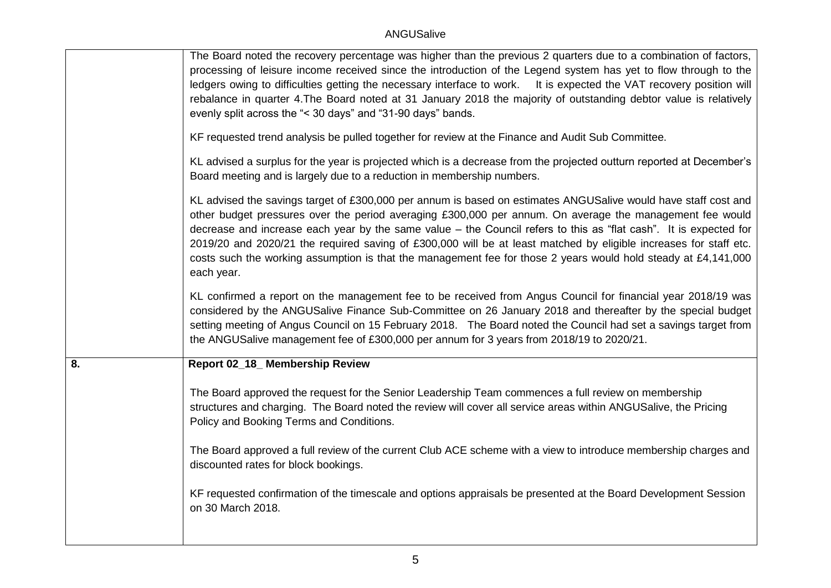|    | The Board noted the recovery percentage was higher than the previous 2 quarters due to a combination of factors,<br>processing of leisure income received since the introduction of the Legend system has yet to flow through to the<br>ledgers owing to difficulties getting the necessary interface to work. It is expected the VAT recovery position will<br>rebalance in quarter 4. The Board noted at 31 January 2018 the majority of outstanding debtor value is relatively<br>evenly split across the "< 30 days" and "31-90 days" bands.                                                     |
|----|------------------------------------------------------------------------------------------------------------------------------------------------------------------------------------------------------------------------------------------------------------------------------------------------------------------------------------------------------------------------------------------------------------------------------------------------------------------------------------------------------------------------------------------------------------------------------------------------------|
|    | KF requested trend analysis be pulled together for review at the Finance and Audit Sub Committee.                                                                                                                                                                                                                                                                                                                                                                                                                                                                                                    |
|    | KL advised a surplus for the year is projected which is a decrease from the projected outturn reported at December's<br>Board meeting and is largely due to a reduction in membership numbers.                                                                                                                                                                                                                                                                                                                                                                                                       |
|    | KL advised the savings target of £300,000 per annum is based on estimates ANGUSalive would have staff cost and<br>other budget pressures over the period averaging £300,000 per annum. On average the management fee would<br>decrease and increase each year by the same value - the Council refers to this as "flat cash". It is expected for<br>2019/20 and 2020/21 the required saving of £300,000 will be at least matched by eligible increases for staff etc.<br>costs such the working assumption is that the management fee for those 2 years would hold steady at £4,141,000<br>each year. |
|    | KL confirmed a report on the management fee to be received from Angus Council for financial year 2018/19 was<br>considered by the ANGUSalive Finance Sub-Committee on 26 January 2018 and thereafter by the special budget<br>setting meeting of Angus Council on 15 February 2018. The Board noted the Council had set a savings target from<br>the ANGUSalive management fee of £300,000 per annum for 3 years from 2018/19 to 2020/21.                                                                                                                                                            |
| 8. | Report 02_18_ Membership Review                                                                                                                                                                                                                                                                                                                                                                                                                                                                                                                                                                      |
|    | The Board approved the request for the Senior Leadership Team commences a full review on membership<br>structures and charging. The Board noted the review will cover all service areas within ANGUSalive, the Pricing<br>Policy and Booking Terms and Conditions.                                                                                                                                                                                                                                                                                                                                   |
|    | The Board approved a full review of the current Club ACE scheme with a view to introduce membership charges and<br>discounted rates for block bookings.                                                                                                                                                                                                                                                                                                                                                                                                                                              |
|    | KF requested confirmation of the timescale and options appraisals be presented at the Board Development Session<br>on 30 March 2018.                                                                                                                                                                                                                                                                                                                                                                                                                                                                 |
|    |                                                                                                                                                                                                                                                                                                                                                                                                                                                                                                                                                                                                      |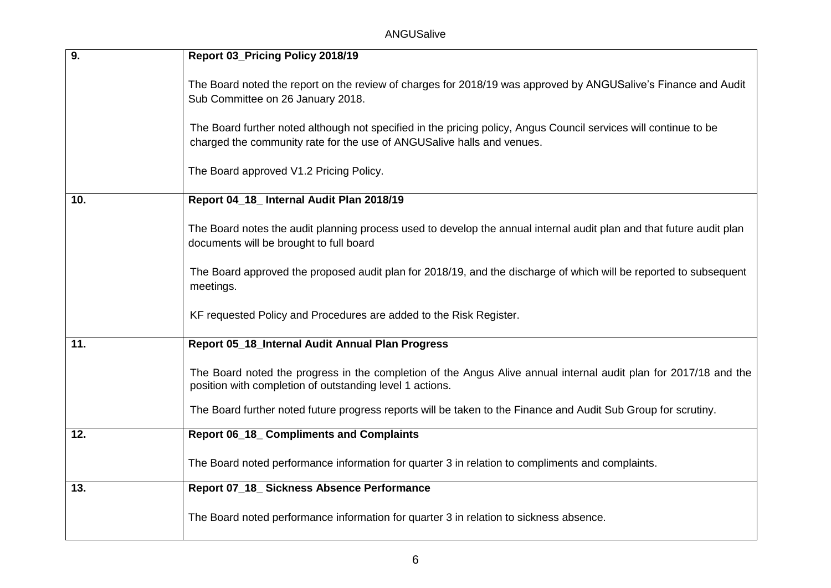| $\overline{9}$ . | Report 03_Pricing Policy 2018/19                                                                                                                                                           |
|------------------|--------------------------------------------------------------------------------------------------------------------------------------------------------------------------------------------|
|                  | The Board noted the report on the review of charges for 2018/19 was approved by ANGUSalive's Finance and Audit<br>Sub Committee on 26 January 2018.                                        |
|                  | The Board further noted although not specified in the pricing policy, Angus Council services will continue to be<br>charged the community rate for the use of ANGUSalive halls and venues. |
|                  | The Board approved V1.2 Pricing Policy.                                                                                                                                                    |
| 10.              | Report 04_18_ Internal Audit Plan 2018/19                                                                                                                                                  |
|                  | The Board notes the audit planning process used to develop the annual internal audit plan and that future audit plan<br>documents will be brought to full board                            |
|                  | The Board approved the proposed audit plan for 2018/19, and the discharge of which will be reported to subsequent<br>meetings.                                                             |
|                  | KF requested Policy and Procedures are added to the Risk Register.                                                                                                                         |
| 11.              | Report 05_18_Internal Audit Annual Plan Progress                                                                                                                                           |
|                  | The Board noted the progress in the completion of the Angus Alive annual internal audit plan for 2017/18 and the<br>position with completion of outstanding level 1 actions.               |
|                  | The Board further noted future progress reports will be taken to the Finance and Audit Sub Group for scrutiny.                                                                             |
| 12.              | <b>Report 06_18_ Compliments and Complaints</b>                                                                                                                                            |
|                  | The Board noted performance information for quarter 3 in relation to compliments and complaints.                                                                                           |
| 13.              | Report 07_18_ Sickness Absence Performance                                                                                                                                                 |
|                  | The Board noted performance information for quarter 3 in relation to sickness absence.                                                                                                     |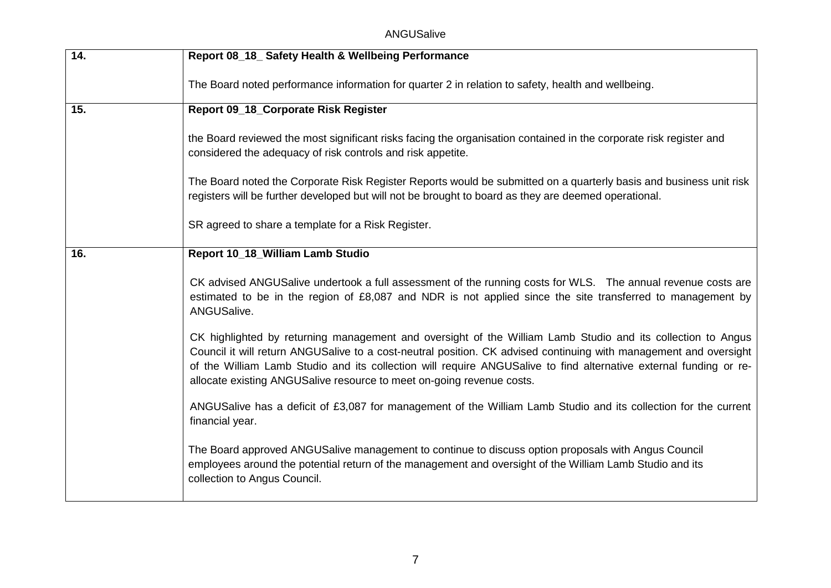| 14. | Report 08_18_ Safety Health & Wellbeing Performance                                                                                                                                                                                                                                                                                                                                                                            |
|-----|--------------------------------------------------------------------------------------------------------------------------------------------------------------------------------------------------------------------------------------------------------------------------------------------------------------------------------------------------------------------------------------------------------------------------------|
|     | The Board noted performance information for quarter 2 in relation to safety, health and wellbeing.                                                                                                                                                                                                                                                                                                                             |
| 15. | Report 09_18_Corporate Risk Register                                                                                                                                                                                                                                                                                                                                                                                           |
|     | the Board reviewed the most significant risks facing the organisation contained in the corporate risk register and<br>considered the adequacy of risk controls and risk appetite.                                                                                                                                                                                                                                              |
|     | The Board noted the Corporate Risk Register Reports would be submitted on a quarterly basis and business unit risk<br>registers will be further developed but will not be brought to board as they are deemed operational.                                                                                                                                                                                                     |
|     | SR agreed to share a template for a Risk Register.                                                                                                                                                                                                                                                                                                                                                                             |
| 16. | Report 10_18_William Lamb Studio                                                                                                                                                                                                                                                                                                                                                                                               |
|     | CK advised ANGUSalive undertook a full assessment of the running costs for WLS. The annual revenue costs are<br>estimated to be in the region of £8,087 and NDR is not applied since the site transferred to management by<br>ANGUSalive.                                                                                                                                                                                      |
|     | CK highlighted by returning management and oversight of the William Lamb Studio and its collection to Angus<br>Council it will return ANGUSalive to a cost-neutral position. CK advised continuing with management and oversight<br>of the William Lamb Studio and its collection will require ANGUSalive to find alternative external funding or re-<br>allocate existing ANGUSalive resource to meet on-going revenue costs. |
|     | ANGUSalive has a deficit of £3,087 for management of the William Lamb Studio and its collection for the current<br>financial year.                                                                                                                                                                                                                                                                                             |
|     | The Board approved ANGUSalive management to continue to discuss option proposals with Angus Council<br>employees around the potential return of the management and oversight of the William Lamb Studio and its<br>collection to Angus Council.                                                                                                                                                                                |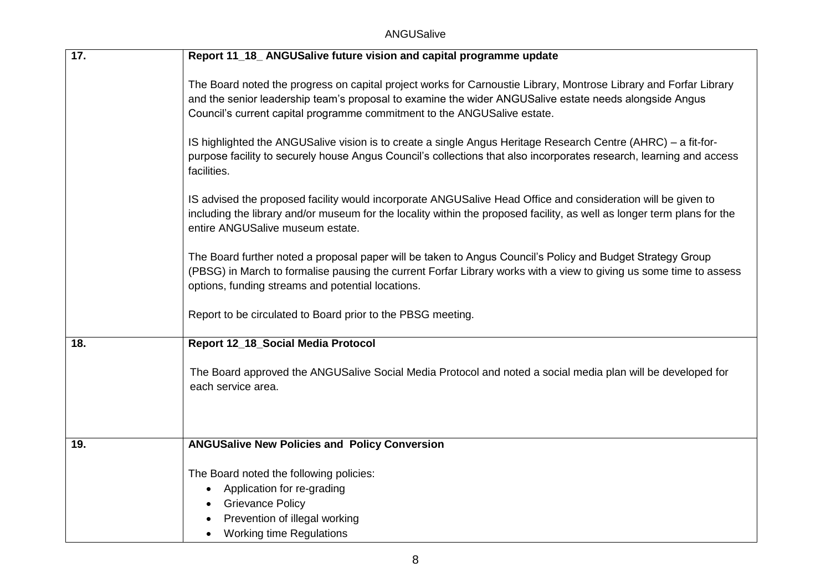| 17. | Report 11_18_ANGUSalive future vision and capital programme update                                                                                                                                                                                                                                                                                                                                                       |
|-----|--------------------------------------------------------------------------------------------------------------------------------------------------------------------------------------------------------------------------------------------------------------------------------------------------------------------------------------------------------------------------------------------------------------------------|
|     | The Board noted the progress on capital project works for Carnoustie Library, Montrose Library and Forfar Library<br>and the senior leadership team's proposal to examine the wider ANGUSalive estate needs alongside Angus<br>Council's current capital programme commitment to the ANGUSalive estate.<br>IS highlighted the ANGUSalive vision is to create a single Angus Heritage Research Centre (AHRC) – a fit-for- |
|     | purpose facility to securely house Angus Council's collections that also incorporates research, learning and access<br>facilities.                                                                                                                                                                                                                                                                                       |
|     | IS advised the proposed facility would incorporate ANGUSalive Head Office and consideration will be given to<br>including the library and/or museum for the locality within the proposed facility, as well as longer term plans for the<br>entire ANGUSalive museum estate.                                                                                                                                              |
|     | The Board further noted a proposal paper will be taken to Angus Council's Policy and Budget Strategy Group<br>(PBSG) in March to formalise pausing the current Forfar Library works with a view to giving us some time to assess<br>options, funding streams and potential locations.                                                                                                                                    |
|     | Report to be circulated to Board prior to the PBSG meeting.                                                                                                                                                                                                                                                                                                                                                              |
| 18. | Report 12_18_Social Media Protocol                                                                                                                                                                                                                                                                                                                                                                                       |
|     | The Board approved the ANGUSalive Social Media Protocol and noted a social media plan will be developed for<br>each service area.                                                                                                                                                                                                                                                                                        |
|     |                                                                                                                                                                                                                                                                                                                                                                                                                          |
| 19. | <b>ANGUSalive New Policies and Policy Conversion</b>                                                                                                                                                                                                                                                                                                                                                                     |
|     | The Board noted the following policies:                                                                                                                                                                                                                                                                                                                                                                                  |
|     | Application for re-grading<br>$\bullet$                                                                                                                                                                                                                                                                                                                                                                                  |
|     | <b>Grievance Policy</b>                                                                                                                                                                                                                                                                                                                                                                                                  |
|     | Prevention of illegal working                                                                                                                                                                                                                                                                                                                                                                                            |
|     | <b>Working time Regulations</b><br>$\bullet$                                                                                                                                                                                                                                                                                                                                                                             |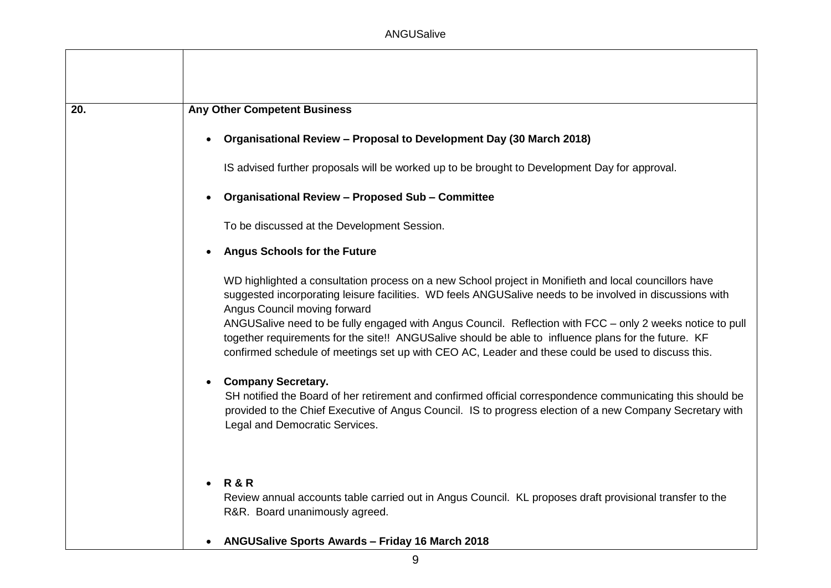| 20. | <b>Any Other Competent Business</b>                                                                                                                                                                                                                                                                                                                                                                                                                                                                                                                                          |
|-----|------------------------------------------------------------------------------------------------------------------------------------------------------------------------------------------------------------------------------------------------------------------------------------------------------------------------------------------------------------------------------------------------------------------------------------------------------------------------------------------------------------------------------------------------------------------------------|
|     | Organisational Review - Proposal to Development Day (30 March 2018)<br>$\bullet$                                                                                                                                                                                                                                                                                                                                                                                                                                                                                             |
|     | IS advised further proposals will be worked up to be brought to Development Day for approval.                                                                                                                                                                                                                                                                                                                                                                                                                                                                                |
|     | <b>Organisational Review - Proposed Sub - Committee</b><br>$\bullet$                                                                                                                                                                                                                                                                                                                                                                                                                                                                                                         |
|     | To be discussed at the Development Session.                                                                                                                                                                                                                                                                                                                                                                                                                                                                                                                                  |
|     | <b>Angus Schools for the Future</b><br>$\bullet$                                                                                                                                                                                                                                                                                                                                                                                                                                                                                                                             |
|     | WD highlighted a consultation process on a new School project in Monifieth and local councillors have<br>suggested incorporating leisure facilities. WD feels ANGUSalive needs to be involved in discussions with<br>Angus Council moving forward<br>ANGUSalive need to be fully engaged with Angus Council. Reflection with FCC - only 2 weeks notice to pull<br>together requirements for the site!! ANGUSalive should be able to influence plans for the future. KF<br>confirmed schedule of meetings set up with CEO AC, Leader and these could be used to discuss this. |
|     | <b>Company Secretary.</b><br>$\bullet$<br>SH notified the Board of her retirement and confirmed official correspondence communicating this should be<br>provided to the Chief Executive of Angus Council. IS to progress election of a new Company Secretary with<br>Legal and Democratic Services.                                                                                                                                                                                                                                                                          |
|     | <b>R&amp;R</b><br>$\bullet$<br>Review annual accounts table carried out in Angus Council. KL proposes draft provisional transfer to the<br>R&R. Board unanimously agreed.                                                                                                                                                                                                                                                                                                                                                                                                    |
|     | <b>ANGUSalive Sports Awards - Friday 16 March 2018</b>                                                                                                                                                                                                                                                                                                                                                                                                                                                                                                                       |